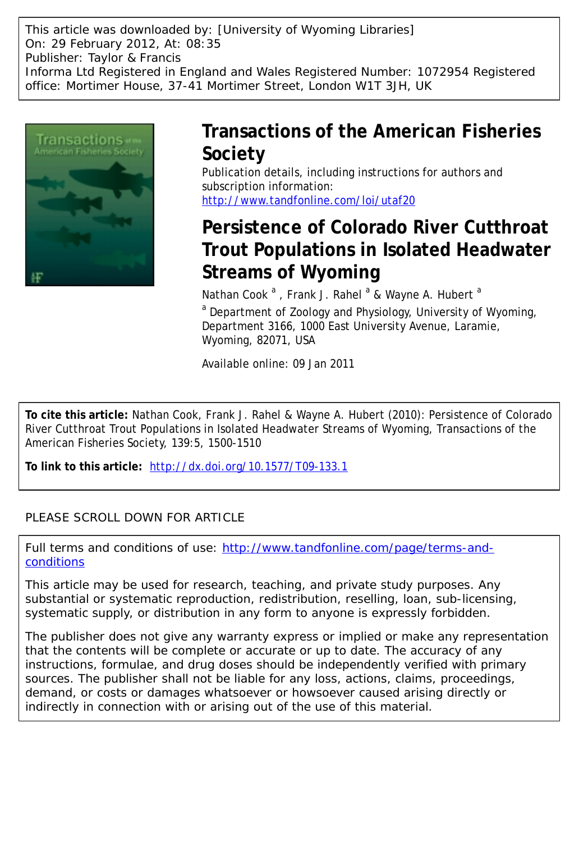This article was downloaded by: [University of Wyoming Libraries] On: 29 February 2012, At: 08:35 Publisher: Taylor & Francis Informa Ltd Registered in England and Wales Registered Number: 1072954 Registered office: Mortimer House, 37-41 Mortimer Street, London W1T 3JH, UK



## **Transactions of the American Fisheries Society**

Publication details, including instructions for authors and subscription information: <http://www.tandfonline.com/loi/utaf20>

# **Persistence of Colorado River Cutthroat Trout Populations in Isolated Headwater Streams of Wyoming**

Nathan Cook<sup>a</sup>, Frank J. Rahel<sup>a</sup> & Wayne A. Hubert<sup>a</sup>

<sup>a</sup> Department of Zoology and Physiology, University of Wyoming, Department 3166, 1000 East University Avenue, Laramie, Wyoming, 82071, USA

Available online: 09 Jan 2011

**To cite this article:** Nathan Cook, Frank J. Rahel & Wayne A. Hubert (2010): Persistence of Colorado River Cutthroat Trout Populations in Isolated Headwater Streams of Wyoming, Transactions of the American Fisheries Society, 139:5, 1500-1510

**To link to this article:** <http://dx.doi.org/10.1577/T09-133.1>

## PLEASE SCROLL DOWN FOR ARTICLE

Full terms and conditions of use: [http://www.tandfonline.com/page/terms-and](http://www.tandfonline.com/page/terms-and-conditions)[conditions](http://www.tandfonline.com/page/terms-and-conditions)

This article may be used for research, teaching, and private study purposes. Any substantial or systematic reproduction, redistribution, reselling, loan, sub-licensing, systematic supply, or distribution in any form to anyone is expressly forbidden.

The publisher does not give any warranty express or implied or make any representation that the contents will be complete or accurate or up to date. The accuracy of any instructions, formulae, and drug doses should be independently verified with primary sources. The publisher shall not be liable for any loss, actions, claims, proceedings, demand, or costs or damages whatsoever or howsoever caused arising directly or indirectly in connection with or arising out of the use of this material.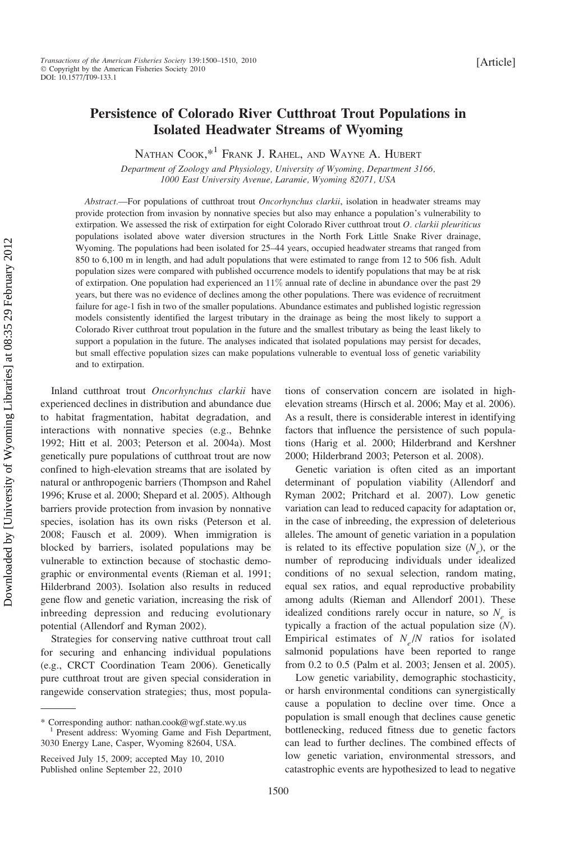### Persistence of Colorado River Cutthroat Trout Populations in Isolated Headwater Streams of Wyoming

NATHAN COOK,\*<sup>1</sup> FRANK J. RAHEL, AND WAYNE A. HUBERT

Department of Zoology and Physiology, University of Wyoming, Department 3166, 1000 East University Avenue, Laramie, Wyoming 82071, USA

Abstract.—For populations of cutthroat trout Oncorhynchus clarkii, isolation in headwater streams may provide protection from invasion by nonnative species but also may enhance a population's vulnerability to extirpation. We assessed the risk of extirpation for eight Colorado River cutthroat trout  $O$ . clarkii pleuriticus populations isolated above water diversion structures in the North Fork Little Snake River drainage, Wyoming. The populations had been isolated for 25–44 years, occupied headwater streams that ranged from 850 to 6,100 m in length, and had adult populations that were estimated to range from 12 to 506 fish. Adult population sizes were compared with published occurrence models to identify populations that may be at risk of extirpation. One population had experienced an 11% annual rate of decline in abundance over the past 29 years, but there was no evidence of declines among the other populations. There was evidence of recruitment failure for age-1 fish in two of the smaller populations. Abundance estimates and published logistic regression models consistently identified the largest tributary in the drainage as being the most likely to support a Colorado River cutthroat trout population in the future and the smallest tributary as being the least likely to support a population in the future. The analyses indicated that isolated populations may persist for decades, but small effective population sizes can make populations vulnerable to eventual loss of genetic variability and to extirpation.

Inland cutthroat trout Oncorhynchus clarkii have experienced declines in distribution and abundance due to habitat fragmentation, habitat degradation, and interactions with nonnative species (e.g., Behnke 1992; Hitt et al. 2003; Peterson et al. 2004a). Most genetically pure populations of cutthroat trout are now confined to high-elevation streams that are isolated by natural or anthropogenic barriers (Thompson and Rahel 1996; Kruse et al. 2000; Shepard et al. 2005). Although barriers provide protection from invasion by nonnative species, isolation has its own risks (Peterson et al. 2008; Fausch et al. 2009). When immigration is blocked by barriers, isolated populations may be vulnerable to extinction because of stochastic demographic or environmental events (Rieman et al. 1991; Hilderbrand 2003). Isolation also results in reduced gene flow and genetic variation, increasing the risk of inbreeding depression and reducing evolutionary potential (Allendorf and Ryman 2002).

Strategies for conserving native cutthroat trout call for securing and enhancing individual populations (e.g., CRCT Coordination Team 2006). Genetically pure cutthroat trout are given special consideration in rangewide conservation strategies; thus, most populations of conservation concern are isolated in highelevation streams (Hirsch et al. 2006; May et al. 2006). As a result, there is considerable interest in identifying factors that influence the persistence of such populations (Harig et al. 2000; Hilderbrand and Kershner 2000; Hilderbrand 2003; Peterson et al. 2008).

Genetic variation is often cited as an important determinant of population viability (Allendorf and Ryman 2002; Pritchard et al. 2007). Low genetic variation can lead to reduced capacity for adaptation or, in the case of inbreeding, the expression of deleterious alleles. The amount of genetic variation in a population is related to its effective population size  $(N_e)$ , or the number of reproducing individuals under idealized conditions of no sexual selection, random mating, equal sex ratios, and equal reproductive probability among adults (Rieman and Allendorf 2001). These idealized conditions rarely occur in nature, so  $N<sub>a</sub>$  is typically a fraction of the actual population size (N). Empirical estimates of  $N_e/N$  ratios for isolated salmonid populations have been reported to range from 0.2 to 0.5 (Palm et al. 2003; Jensen et al. 2005).

Low genetic variability, demographic stochasticity, or harsh environmental conditions can synergistically cause a population to decline over time. Once a population is small enough that declines cause genetic bottlenecking, reduced fitness due to genetic factors can lead to further declines. The combined effects of low genetic variation, environmental stressors, and catastrophic events are hypothesized to lead to negative

<sup>\*</sup> Corresponding author: nathan.cook@wgf.state.wy.us <sup>1</sup> Present address: Wyoming Game and Fish Department, 3030 Energy Lane, Casper, Wyoming 82604, USA.

Received July 15, 2009; accepted May 10, 2010 Published online September 22, 2010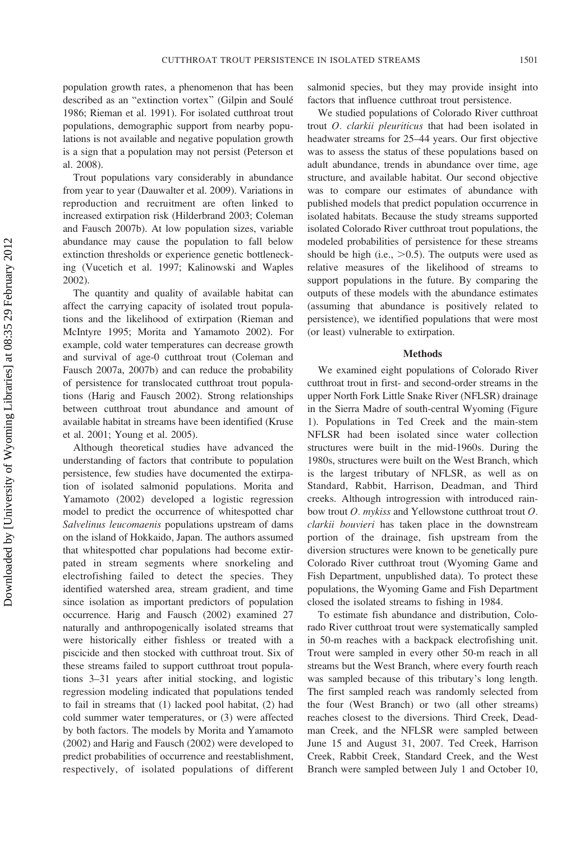population growth rates, a phenomenon that has been described as an "extinction vortex" (Gilpin and Soulé 1986; Rieman et al. 1991). For isolated cutthroat trout populations, demographic support from nearby populations is not available and negative population growth is a sign that a population may not persist (Peterson et al. 2008).

Trout populations vary considerably in abundance from year to year (Dauwalter et al. 2009). Variations in reproduction and recruitment are often linked to increased extirpation risk (Hilderbrand 2003; Coleman and Fausch 2007b). At low population sizes, variable abundance may cause the population to fall below extinction thresholds or experience genetic bottlenecking (Vucetich et al. 1997; Kalinowski and Waples 2002).

The quantity and quality of available habitat can affect the carrying capacity of isolated trout populations and the likelihood of extirpation (Rieman and McIntyre 1995; Morita and Yamamoto 2002). For example, cold water temperatures can decrease growth and survival of age-0 cutthroat trout (Coleman and Fausch 2007a, 2007b) and can reduce the probability of persistence for translocated cutthroat trout populations (Harig and Fausch 2002). Strong relationships between cutthroat trout abundance and amount of available habitat in streams have been identified (Kruse et al. 2001; Young et al. 2005).

Although theoretical studies have advanced the understanding of factors that contribute to population persistence, few studies have documented the extirpation of isolated salmonid populations. Morita and Yamamoto (2002) developed a logistic regression model to predict the occurrence of whitespotted char Salvelinus leucomaenis populations upstream of dams on the island of Hokkaido, Japan. The authors assumed that whitespotted char populations had become extirpated in stream segments where snorkeling and electrofishing failed to detect the species. They identified watershed area, stream gradient, and time since isolation as important predictors of population occurrence. Harig and Fausch (2002) examined 27 naturally and anthropogenically isolated streams that were historically either fishless or treated with a piscicide and then stocked with cutthroat trout. Six of these streams failed to support cutthroat trout populations 3–31 years after initial stocking, and logistic regression modeling indicated that populations tended to fail in streams that (1) lacked pool habitat, (2) had cold summer water temperatures, or (3) were affected by both factors. The models by Morita and Yamamoto (2002) and Harig and Fausch (2002) were developed to predict probabilities of occurrence and reestablishment, respectively, of isolated populations of different salmonid species, but they may provide insight into factors that influence cutthroat trout persistence.

We studied populations of Colorado River cutthroat trout O. clarkii pleuriticus that had been isolated in headwater streams for 25–44 years. Our first objective was to assess the status of these populations based on adult abundance, trends in abundance over time, age structure, and available habitat. Our second objective was to compare our estimates of abundance with published models that predict population occurrence in isolated habitats. Because the study streams supported isolated Colorado River cutthroat trout populations, the modeled probabilities of persistence for these streams should be high (i.e.,  $>0.5$ ). The outputs were used as relative measures of the likelihood of streams to support populations in the future. By comparing the outputs of these models with the abundance estimates (assuming that abundance is positively related to persistence), we identified populations that were most (or least) vulnerable to extirpation.

#### Methods

We examined eight populations of Colorado River cutthroat trout in first- and second-order streams in the upper North Fork Little Snake River (NFLSR) drainage in the Sierra Madre of south-central Wyoming (Figure 1). Populations in Ted Creek and the main-stem NFLSR had been isolated since water collection structures were built in the mid-1960s. During the 1980s, structures were built on the West Branch, which is the largest tributary of NFLSR, as well as on Standard, Rabbit, Harrison, Deadman, and Third creeks. Although introgression with introduced rainbow trout O. mykiss and Yellowstone cutthroat trout O. clarkii bouvieri has taken place in the downstream portion of the drainage, fish upstream from the diversion structures were known to be genetically pure Colorado River cutthroat trout (Wyoming Game and Fish Department, unpublished data). To protect these populations, the Wyoming Game and Fish Department closed the isolated streams to fishing in 1984.

To estimate fish abundance and distribution, Colorado River cutthroat trout were systematically sampled in 50-m reaches with a backpack electrofishing unit. Trout were sampled in every other 50-m reach in all streams but the West Branch, where every fourth reach was sampled because of this tributary's long length. The first sampled reach was randomly selected from the four (West Branch) or two (all other streams) reaches closest to the diversions. Third Creek, Deadman Creek, and the NFLSR were sampled between June 15 and August 31, 2007. Ted Creek, Harrison Creek, Rabbit Creek, Standard Creek, and the West Branch were sampled between July 1 and October 10,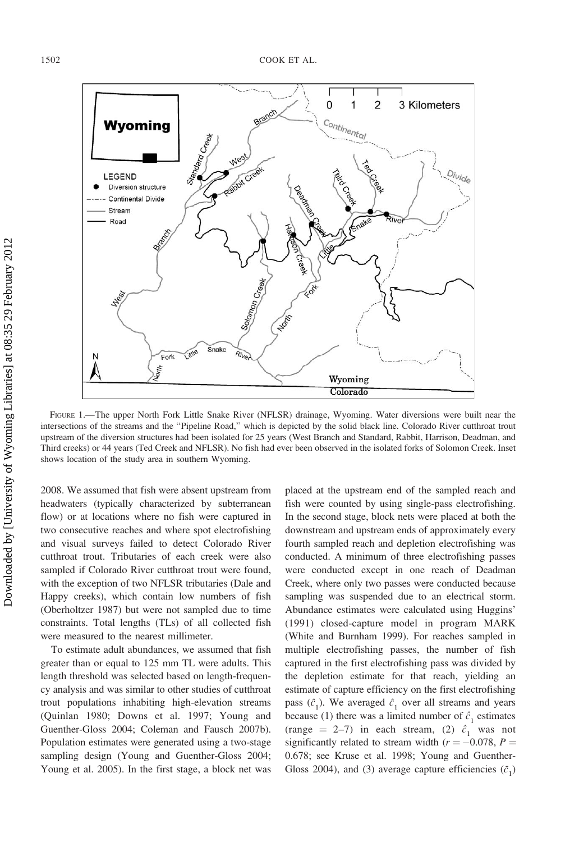

FIGURE 1.—The upper North Fork Little Snake River (NFLSR) drainage, Wyoming. Water diversions were built near the intersections of the streams and the ''Pipeline Road,'' which is depicted by the solid black line. Colorado River cutthroat trout upstream of the diversion structures had been isolated for 25 years (West Branch and Standard, Rabbit, Harrison, Deadman, and Third creeks) or 44 years (Ted Creek and NFLSR). No fish had ever been observed in the isolated forks of Solomon Creek. Inset shows location of the study area in southern Wyoming.

2008. We assumed that fish were absent upstream from headwaters (typically characterized by subterranean flow) or at locations where no fish were captured in two consecutive reaches and where spot electrofishing and visual surveys failed to detect Colorado River cutthroat trout. Tributaries of each creek were also sampled if Colorado River cutthroat trout were found, with the exception of two NFLSR tributaries (Dale and Happy creeks), which contain low numbers of fish (Oberholtzer 1987) but were not sampled due to time constraints. Total lengths (TLs) of all collected fish were measured to the nearest millimeter.

To estimate adult abundances, we assumed that fish greater than or equal to 125 mm TL were adults. This length threshold was selected based on length-frequency analysis and was similar to other studies of cutthroat trout populations inhabiting high-elevation streams (Quinlan 1980; Downs et al. 1997; Young and Guenther-Gloss 2004; Coleman and Fausch 2007b). Population estimates were generated using a two-stage sampling design (Young and Guenther-Gloss 2004; Young et al. 2005). In the first stage, a block net was placed at the upstream end of the sampled reach and fish were counted by using single-pass electrofishing. In the second stage, block nets were placed at both the downstream and upstream ends of approximately every fourth sampled reach and depletion electrofishing was conducted. A minimum of three electrofishing passes were conducted except in one reach of Deadman Creek, where only two passes were conducted because sampling was suspended due to an electrical storm. Abundance estimates were calculated using Huggins' (1991) closed-capture model in program MARK (White and Burnham 1999). For reaches sampled in multiple electrofishing passes, the number of fish captured in the first electrofishing pass was divided by the depletion estimate for that reach, yielding an estimate of capture efficiency on the first electrofishing pass  $(\hat{c}_1)$ . We averaged  $\hat{c}_1$  over all streams and years because (1) there was a limited number of  $\hat{c}_1$  estimates (range = 2–7) in each stream, (2)  $\hat{c}_1$  was not significantly related to stream width  $(r = -0.078, P =$ 0.678; see Kruse et al. 1998; Young and Guenther-Gloss 2004), and (3) average capture efficiencies  $(\bar{c}_1)$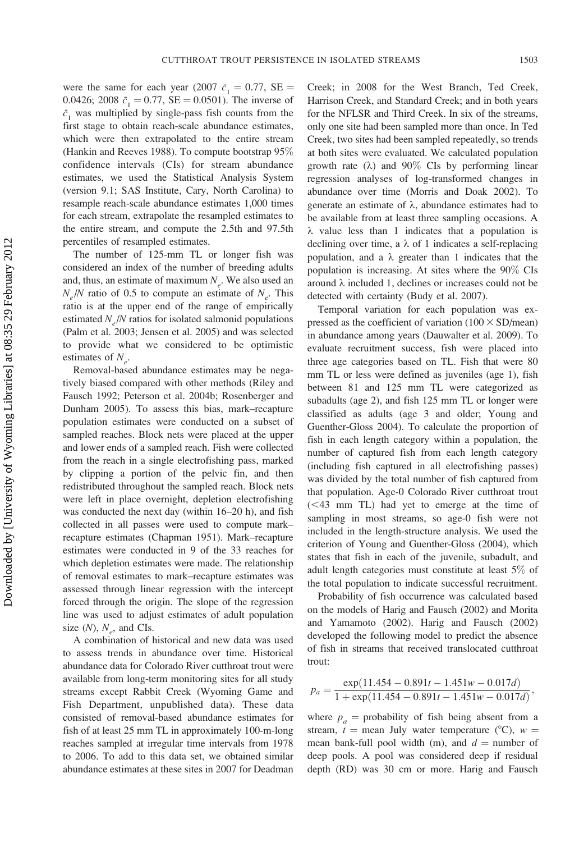were the same for each year (2007  $\bar{c}_1 = 0.77$ , SE = 0.0426; 2008  $\bar{c}_1 = 0.77$ , SE = 0.0501). The inverse of  $\bar{c}_1$  was multiplied by single-pass fish counts from the first stage to obtain reach-scale abundance estimates, which were then extrapolated to the entire stream (Hankin and Reeves 1988). To compute bootstrap 95% confidence intervals (CIs) for stream abundance estimates, we used the Statistical Analysis System (version 9.1; SAS Institute, Cary, North Carolina) to resample reach-scale abundance estimates 1,000 times for each stream, extrapolate the resampled estimates to the entire stream, and compute the 2.5th and 97.5th percentiles of resampled estimates.

The number of 125-mm TL or longer fish was considered an index of the number of breeding adults and, thus, an estimate of maximum  $N_e$ . We also used an  $N_e/N$  ratio of 0.5 to compute an estimate of  $N_e$ . This ratio is at the upper end of the range of empirically estimated  $N_e/N$  ratios for isolated salmonid populations (Palm et al. 2003; Jensen et al. 2005) and was selected to provide what we considered to be optimistic estimates of  $N_e$ .

Removal-based abundance estimates may be negatively biased compared with other methods (Riley and Fausch 1992; Peterson et al. 2004b; Rosenberger and Dunham 2005). To assess this bias, mark–recapture population estimates were conducted on a subset of sampled reaches. Block nets were placed at the upper and lower ends of a sampled reach. Fish were collected from the reach in a single electrofishing pass, marked by clipping a portion of the pelvic fin, and then redistributed throughout the sampled reach. Block nets were left in place overnight, depletion electrofishing was conducted the next day (within 16–20 h), and fish collected in all passes were used to compute mark– recapture estimates (Chapman 1951). Mark–recapture estimates were conducted in 9 of the 33 reaches for which depletion estimates were made. The relationship of removal estimates to mark–recapture estimates was assessed through linear regression with the intercept forced through the origin. The slope of the regression line was used to adjust estimates of adult population size  $(N)$ ,  $N_e$ , and CIs.

A combination of historical and new data was used to assess trends in abundance over time. Historical abundance data for Colorado River cutthroat trout were available from long-term monitoring sites for all study streams except Rabbit Creek (Wyoming Game and Fish Department, unpublished data). These data consisted of removal-based abundance estimates for fish of at least 25 mm TL in approximately 100-m-long reaches sampled at irregular time intervals from 1978 to 2006. To add to this data set, we obtained similar abundance estimates at these sites in 2007 for Deadman

Creek; in 2008 for the West Branch, Ted Creek, Harrison Creek, and Standard Creek; and in both years for the NFLSR and Third Creek. In six of the streams, only one site had been sampled more than once. In Ted Creek, two sites had been sampled repeatedly, so trends at both sites were evaluated. We calculated population growth rate  $(\lambda)$  and 90% CIs by performing linear regression analyses of log-transformed changes in abundance over time (Morris and Doak 2002). To generate an estimate of  $\lambda$ , abundance estimates had to be available from at least three sampling occasions. A  $\lambda$  value less than 1 indicates that a population is declining over time, a  $\lambda$  of 1 indicates a self-replacing population, and a  $\lambda$  greater than 1 indicates that the population is increasing. At sites where the 90% CIs around  $\lambda$  included 1, declines or increases could not be detected with certainty (Budy et al. 2007).

Temporal variation for each population was expressed as the coefficient of variation  $(100 \times SD/mean)$ in abundance among years (Dauwalter et al. 2009). To evaluate recruitment success, fish were placed into three age categories based on TL. Fish that were 80 mm TL or less were defined as juveniles (age 1), fish between 81 and 125 mm TL were categorized as subadults (age 2), and fish 125 mm TL or longer were classified as adults (age 3 and older; Young and Guenther-Gloss 2004). To calculate the proportion of fish in each length category within a population, the number of captured fish from each length category (including fish captured in all electrofishing passes) was divided by the total number of fish captured from that population. Age-0 Colorado River cutthroat trout  $(< 43$  mm TL) had yet to emerge at the time of sampling in most streams, so age-0 fish were not included in the length-structure analysis. We used the criterion of Young and Guenther-Gloss (2004), which states that fish in each of the juvenile, subadult, and adult length categories must constitute at least 5% of the total population to indicate successful recruitment.

Probability of fish occurrence was calculated based on the models of Harig and Fausch (2002) and Morita and Yamamoto (2002). Harig and Fausch (2002) developed the following model to predict the absence of fish in streams that received translocated cutthroat trout:

$$
p_a = \frac{\exp(11.454 - 0.891t - 1.451w - 0.017d)}{1 + \exp(11.454 - 0.891t - 1.451w - 0.017d)},
$$

where  $p_a$  = probability of fish being absent from a stream,  $t =$  mean July water temperature (°C),  $w =$ mean bank-full pool width (m), and  $d =$  number of deep pools. A pool was considered deep if residual depth (RD) was 30 cm or more. Harig and Fausch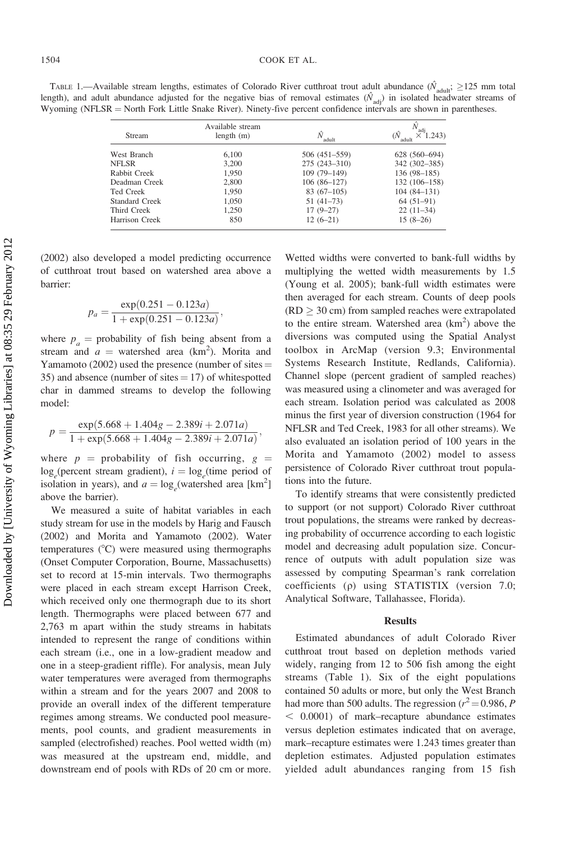TABLE 1.—Available stream lengths, estimates of Colorado River cutthroat trout adult abundance ( $\hat{N}_{\text{adult}}$ ;  $\geq$ 125 mm total length), and adult abundance adjusted for the negative bias of removal estimates  $(\hat{N}_{adj})$  in isolated headwater streams of Wyoming (NFLSR = North Fork Little Snake River). Ninety-five percent confidence intervals are shown in parentheses.

| <b>Stream</b>  | Available stream<br>length(m) | adult            | adi<br>(.243)   |
|----------------|-------------------------------|------------------|-----------------|
| West Branch    | 6,100                         | 506 (451-559)    | 628 (560-694)   |
| <b>NFLSR</b>   | 3.200                         | $275(243 - 310)$ | 342 (302-385)   |
| Rabbit Creek   | 1,950                         | $109(79-149)$    | 136 (98-185)    |
| Deadman Creek  | 2.800                         | $106(86-127)$    | 132 (106-158)   |
| Ted Creek      | 1.950                         | $83(67-105)$     | $104(84 - 131)$ |
| Standard Creek | 1.050                         | $51(41-73)$      | $64(51-91)$     |
| Third Creek    | 1.250                         | $17(9-27)$       | $22(11-34)$     |
| Harrison Creek | 850                           | $12(6-21)$       | $15(8-26)$      |

(2002) also developed a model predicting occurrence of cutthroat trout based on watershed area above a barrier:

$$
p_a = \frac{\exp(0.251 - 0.123a)}{1 + \exp(0.251 - 0.123a)},
$$

where  $p_a$  = probability of fish being absent from a stream and  $a =$  watershed area (km<sup>2</sup>). Morita and Yamamoto (2002) used the presence (number of sites  $=$ 35) and absence (number of sites  $= 17$ ) of whitespotted char in dammed streams to develop the following model:

$$
p = \frac{\exp(5.668 + 1.404g - 2.389i + 2.071a)}{1 + \exp(5.668 + 1.404g - 2.389i + 2.071a)},
$$

where  $p =$  probability of fish occurring,  $g =$  $\log_e$ (percent stream gradient),  $i = \log_e$ (time period of isolation in years), and  $a = \log_e(\text{watershed area } [\text{km}^2])$ above the barrier).

We measured a suite of habitat variables in each study stream for use in the models by Harig and Fausch (2002) and Morita and Yamamoto (2002). Water temperatures  $(^{\circ}C)$  were measured using thermographs (Onset Computer Corporation, Bourne, Massachusetts) set to record at 15-min intervals. Two thermographs were placed in each stream except Harrison Creek, which received only one thermograph due to its short length. Thermographs were placed between 677 and 2,763 m apart within the study streams in habitats intended to represent the range of conditions within each stream (i.e., one in a low-gradient meadow and one in a steep-gradient riffle). For analysis, mean July water temperatures were averaged from thermographs within a stream and for the years 2007 and 2008 to provide an overall index of the different temperature regimes among streams. We conducted pool measurements, pool counts, and gradient measurements in sampled (electrofished) reaches. Pool wetted width (m) was measured at the upstream end, middle, and downstream end of pools with RDs of 20 cm or more.

Wetted widths were converted to bank-full widths by multiplying the wetted width measurements by 1.5 (Young et al. 2005); bank-full width estimates were then averaged for each stream. Counts of deep pools  $(RD \geq 30 \text{ cm})$  from sampled reaches were extrapolated to the entire stream. Watershed area  $(km^2)$  above the diversions was computed using the Spatial Analyst toolbox in ArcMap (version 9.3; Environmental Systems Research Institute, Redlands, California). Channel slope (percent gradient of sampled reaches) was measured using a clinometer and was averaged for each stream. Isolation period was calculated as 2008 minus the first year of diversion construction (1964 for NFLSR and Ted Creek, 1983 for all other streams). We also evaluated an isolation period of 100 years in the Morita and Yamamoto (2002) model to assess persistence of Colorado River cutthroat trout populations into the future.

To identify streams that were consistently predicted to support (or not support) Colorado River cutthroat trout populations, the streams were ranked by decreasing probability of occurrence according to each logistic model and decreasing adult population size. Concurrence of outputs with adult population size was assessed by computing Spearman's rank correlation coefficients (q) using STATISTIX (version 7.0; Analytical Software, Tallahassee, Florida).

#### Results

Estimated abundances of adult Colorado River cutthroat trout based on depletion methods varied widely, ranging from 12 to 506 fish among the eight streams (Table 1). Six of the eight populations contained 50 adults or more, but only the West Branch had more than 500 adults. The regression ( $r^2$  = 0.986, P  $<$  0.0001) of mark–recapture abundance estimates versus depletion estimates indicated that on average, mark–recapture estimates were 1.243 times greater than depletion estimates. Adjusted population estimates yielded adult abundances ranging from 15 fish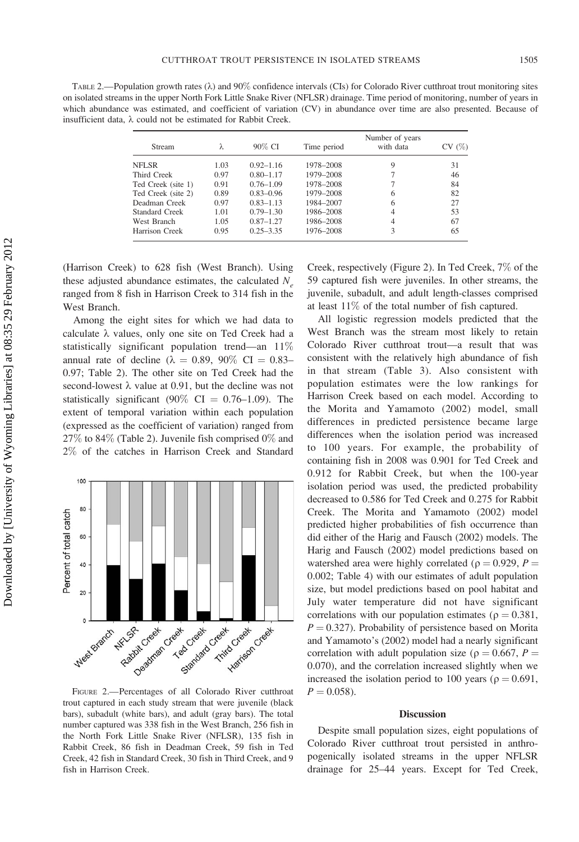TABLE 2.—Population growth rates  $(\lambda)$  and 90% confidence intervals (CIs) for Colorado River cutthroat trout monitoring sites on isolated streams in the upper North Fork Little Snake River (NFLSR) drainage. Time period of monitoring, number of years in which abundance was estimated, and coefficient of variation (CV) in abundance over time are also presented. Because of insufficient data,  $\lambda$  could not be estimated for Rabbit Creek.

| Stream             | λ    | 90% CI        | Time period | Number of years<br>with data | CV(%) |
|--------------------|------|---------------|-------------|------------------------------|-------|
| NFLSR              | 1.03 | $0.92 - 1.16$ | 1978-2008   | 9                            | 31    |
| Third Creek        | 0.97 | $0.80 - 1.17$ | 1979-2008   |                              | 46    |
| Ted Creek (site 1) | 0.91 | $0.76 - 1.09$ | 1978-2008   |                              | 84    |
| Ted Creek (site 2) | 0.89 | $0.83 - 0.96$ | 1979-2008   | 6                            | 82    |
| Deadman Creek      | 0.97 | $0.83 - 1.13$ | 1984-2007   | 6                            | 27    |
| Standard Creek     | 1.01 | $0.79 - 1.30$ | 1986-2008   | $\overline{4}$               | 53    |
| West Branch        | 1.05 | $0.87 - 1.27$ | 1986-2008   | 4                            | 67    |
| Harrison Creek     | 0.95 | $0.25 - 3.35$ | 1976-2008   | 3                            | 65    |

(Harrison Creek) to 628 fish (West Branch). Using these adjusted abundance estimates, the calculated  $N<sub>a</sub>$ ranged from 8 fish in Harrison Creek to 314 fish in the West Branch.

Among the eight sites for which we had data to calculate  $\lambda$  values, only one site on Ted Creek had a statistically significant population trend—an 11% annual rate of decline ( $\lambda = 0.89, 90\%$  CI = 0.83– 0.97; Table 2). The other site on Ted Creek had the second-lowest  $\lambda$  value at 0.91, but the decline was not statistically significant (90% CI =  $0.76-1.09$ ). The extent of temporal variation within each population (expressed as the coefficient of variation) ranged from 27% to 84% (Table 2). Juvenile fish comprised 0% and 2% of the catches in Harrison Creek and Standard



FIGURE 2.—Percentages of all Colorado River cutthroat trout captured in each study stream that were juvenile (black bars), subadult (white bars), and adult (gray bars). The total number captured was 338 fish in the West Branch, 256 fish in the North Fork Little Snake River (NFLSR), 135 fish in Rabbit Creek, 86 fish in Deadman Creek, 59 fish in Ted Creek, 42 fish in Standard Creek, 30 fish in Third Creek, and 9 fish in Harrison Creek.

Creek, respectively (Figure 2). In Ted Creek, 7% of the 59 captured fish were juveniles. In other streams, the juvenile, subadult, and adult length-classes comprised at least 11% of the total number of fish captured.

All logistic regression models predicted that the West Branch was the stream most likely to retain Colorado River cutthroat trout—a result that was consistent with the relatively high abundance of fish in that stream (Table 3). Also consistent with population estimates were the low rankings for Harrison Creek based on each model. According to the Morita and Yamamoto (2002) model, small differences in predicted persistence became large differences when the isolation period was increased to 100 years. For example, the probability of containing fish in 2008 was 0.901 for Ted Creek and 0.912 for Rabbit Creek, but when the 100-year isolation period was used, the predicted probability decreased to 0.586 for Ted Creek and 0.275 for Rabbit Creek. The Morita and Yamamoto (2002) model predicted higher probabilities of fish occurrence than did either of the Harig and Fausch (2002) models. The Harig and Fausch (2002) model predictions based on watershed area were highly correlated ( $\rho = 0.929$ ,  $P =$ 0.002; Table 4) with our estimates of adult population size, but model predictions based on pool habitat and July water temperature did not have significant correlations with our population estimates ( $\rho = 0.381$ ,  $P = 0.327$ ). Probability of persistence based on Morita and Yamamoto's (2002) model had a nearly significant correlation with adult population size ( $\rho = 0.667$ ,  $P =$ 0.070), and the correlation increased slightly when we increased the isolation period to 100 years ( $\rho = 0.691$ ,  $P = 0.058$ .

#### **Discussion**

Despite small population sizes, eight populations of Colorado River cutthroat trout persisted in anthropogenically isolated streams in the upper NFLSR drainage for 25–44 years. Except for Ted Creek,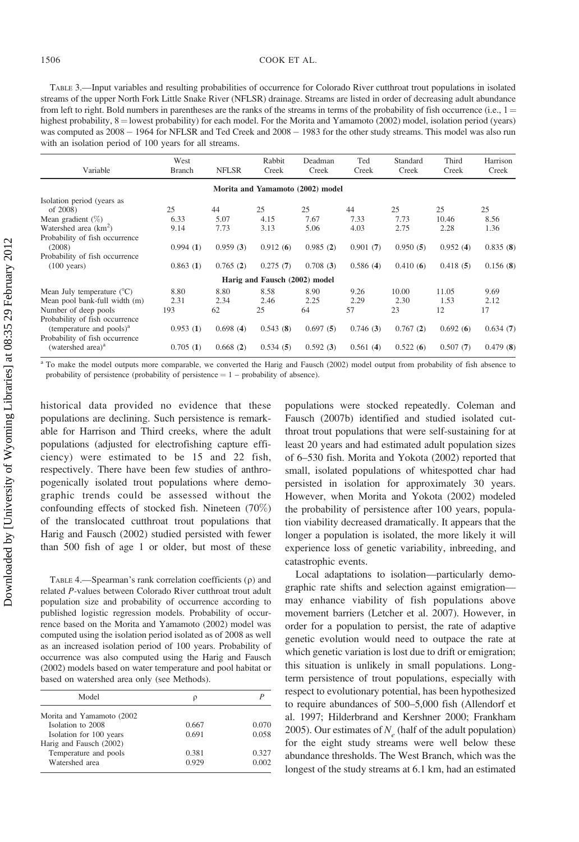TABLE 3.—Input variables and resulting probabilities of occurrence for Colorado River cutthroat trout populations in isolated streams of the upper North Fork Little Snake River (NFLSR) drainage. Streams are listed in order of decreasing adult abundance from left to right. Bold numbers in parentheses are the ranks of the streams in terms of the probability of fish occurrence (i.e.,  $1 =$ highest probability,  $8 =$ lowest probability) for each model. For the Morita and Yamamoto (2002) model, isolation period (years) was computed as  $2008 - 1964$  for NFLSR and Ted Creek and  $2008 - 1983$  for the other study streams. This model was also run with an isolation period of 100 years for all streams.

| Variable                            | West<br><b>Branch</b> | <b>NFLSR</b> | Rabbit<br>Creek               | Deadman<br>Creek                 | Ted<br>Creek | Standard<br>Creek | Third<br>Creek | Harrison<br>Creek |
|-------------------------------------|-----------------------|--------------|-------------------------------|----------------------------------|--------------|-------------------|----------------|-------------------|
|                                     |                       |              |                               | Morita and Yamamoto (2002) model |              |                   |                |                   |
| Isolation period (years as          |                       |              |                               |                                  |              |                   |                |                   |
| of 2008)                            | 25                    | 44           | 25                            | 25                               | 44           | 25                | 25             | 25                |
| Mean gradient $(\%)$                | 6.33                  | 5.07         | 4.15                          | 7.67                             | 7.33         | 7.73              | 10.46          | 8.56              |
| Watershed area $(km^2)$             | 9.14                  | 7.73         | 3.13                          | 5.06                             | 4.03         | 2.75              | 2.28           | 1.36              |
| Probability of fish occurrence      |                       |              |                               |                                  |              |                   |                |                   |
| (2008)                              | 0.994(1)              | 0.959(3)     | 0.912(6)                      | 0.985(2)                         | 0.901(7)     | 0.950(5)          | 0.952(4)       | 0.835(8)          |
| Probability of fish occurrence      |                       |              |                               |                                  |              |                   |                |                   |
| $(100 \text{ years})$               | 0.863(1)              | 0.765(2)     | 0.275(7)                      | 0.708(3)                         | 0.586(4)     | 0.410(6)          | 0.418(5)       | 0.156(8)          |
|                                     |                       |              | Harig and Fausch (2002) model |                                  |              |                   |                |                   |
| Mean July temperature $(^{\circ}C)$ | 8.80                  | 8.80         | 8.58                          | 8.90                             | 9.26         | 10.00             | 11.05          | 9.69              |
| Mean pool bank-full width (m)       | 2.31                  | 2.34         | 2.46                          | 2.25                             | 2.29         | 2.30              | 1.53           | 2.12              |
| Number of deep pools                | 193                   | 62           | 25                            | 64                               | 57           | 23                | 12             | 17                |
| Probability of fish occurrence      |                       |              |                               |                                  |              |                   |                |                   |
| (temperature and pools) $a$         | 0.953(1)              | 0.698(4)     | 0.543(8)                      | 0.697(5)                         | 0.746(3)     | 0.767(2)          | 0.692(6)       | 0.634(7)          |
| Probability of fish occurrence      |                       |              |                               |                                  |              |                   |                |                   |
| (watershed area) <sup>a</sup>       | 0.705(1)              | 0.668(2)     | 0.534(5)                      | 0.592(3)                         | 0.561(4)     | 0.522(6)          | 0.507(7)       | 0.479(8)          |

<sup>a</sup> To make the model outputs more comparable, we converted the Harig and Fausch (2002) model output from probability of fish absence to probability of persistence (probability of persistence  $= 1$  – probability of absence).

historical data provided no evidence that these populations are declining. Such persistence is remarkable for Harrison and Third creeks, where the adult populations (adjusted for electrofishing capture efficiency) were estimated to be 15 and 22 fish, respectively. There have been few studies of anthropogenically isolated trout populations where demographic trends could be assessed without the confounding effects of stocked fish. Nineteen (70%) of the translocated cutthroat trout populations that Harig and Fausch (2002) studied persisted with fewer than 500 fish of age 1 or older, but most of these

TABLE 4.—Spearman's rank correlation coefficients  $(\rho)$  and related P-values between Colorado River cutthroat trout adult population size and probability of occurrence according to published logistic regression models. Probability of occurrence based on the Morita and Yamamoto (2002) model was computed using the isolation period isolated as of 2008 as well as an increased isolation period of 100 years. Probability of occurrence was also computed using the Harig and Fausch (2002) models based on water temperature and pool habitat or based on watershed area only (see Methods).

| Model                      | ρ     |       |
|----------------------------|-------|-------|
| Morita and Yamamoto (2002) |       |       |
| Isolation to 2008          | 0.667 | 0.070 |
| Isolation for 100 years    | 0.691 | 0.058 |
| Harig and Fausch (2002)    |       |       |
| Temperature and pools      | 0.381 | 0.327 |
| Watershed area             | 0.929 | 0.002 |

populations were stocked repeatedly. Coleman and Fausch (2007b) identified and studied isolated cutthroat trout populations that were self-sustaining for at least 20 years and had estimated adult population sizes of 6–530 fish. Morita and Yokota (2002) reported that small, isolated populations of whitespotted char had persisted in isolation for approximately 30 years. However, when Morita and Yokota (2002) modeled the probability of persistence after 100 years, population viability decreased dramatically. It appears that the longer a population is isolated, the more likely it will experience loss of genetic variability, inbreeding, and catastrophic events.

Local adaptations to isolation—particularly demographic rate shifts and selection against emigration may enhance viability of fish populations above movement barriers (Letcher et al. 2007). However, in order for a population to persist, the rate of adaptive genetic evolution would need to outpace the rate at which genetic variation is lost due to drift or emigration; this situation is unlikely in small populations. Longterm persistence of trout populations, especially with respect to evolutionary potential, has been hypothesized to require abundances of 500–5,000 fish (Allendorf et al. 1997; Hilderbrand and Kershner 2000; Frankham 2005). Our estimates of  $N_e$  (half of the adult population) for the eight study streams were well below these abundance thresholds. The West Branch, which was the longest of the study streams at 6.1 km, had an estimated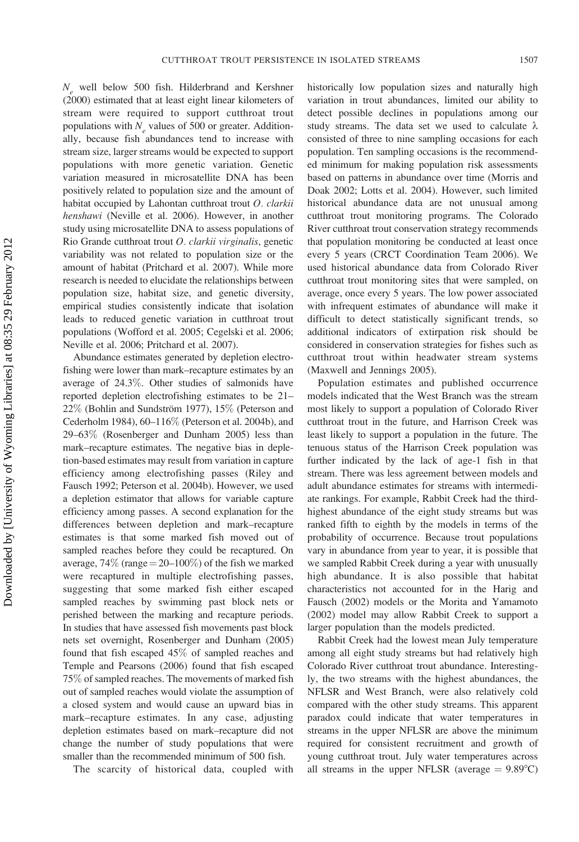$N_a$  well below 500 fish. Hilderbrand and Kershner (2000) estimated that at least eight linear kilometers of stream were required to support cutthroat trout populations with  $N<sub>e</sub>$  values of 500 or greater. Additionally, because fish abundances tend to increase with stream size, larger streams would be expected to support populations with more genetic variation. Genetic variation measured in microsatellite DNA has been positively related to population size and the amount of habitat occupied by Lahontan cutthroat trout  $O$ . *clarkii* henshawi (Neville et al. 2006). However, in another study using microsatellite DNA to assess populations of Rio Grande cutthroat trout O. clarkii virginalis, genetic variability was not related to population size or the amount of habitat (Pritchard et al. 2007). While more research is needed to elucidate the relationships between population size, habitat size, and genetic diversity, empirical studies consistently indicate that isolation leads to reduced genetic variation in cutthroat trout populations (Wofford et al. 2005; Cegelski et al. 2006; Neville et al. 2006; Pritchard et al. 2007).

Abundance estimates generated by depletion electrofishing were lower than mark–recapture estimates by an average of 24.3%. Other studies of salmonids have reported depletion electrofishing estimates to be 21– 22% (Bohlin and Sundström 1977), 15% (Peterson and Cederholm 1984), 60–116% (Peterson et al. 2004b), and 29–63% (Rosenberger and Dunham 2005) less than mark–recapture estimates. The negative bias in depletion-based estimates may result from variation in capture efficiency among electrofishing passes (Riley and Fausch 1992; Peterson et al. 2004b). However, we used a depletion estimator that allows for variable capture efficiency among passes. A second explanation for the differences between depletion and mark–recapture estimates is that some marked fish moved out of sampled reaches before they could be recaptured. On average,  $74\%$  (range =  $20-100\%$ ) of the fish we marked were recaptured in multiple electrofishing passes, suggesting that some marked fish either escaped sampled reaches by swimming past block nets or perished between the marking and recapture periods. In studies that have assessed fish movements past block nets set overnight, Rosenberger and Dunham (2005) found that fish escaped 45% of sampled reaches and Temple and Pearsons (2006) found that fish escaped 75% of sampled reaches. The movements of marked fish out of sampled reaches would violate the assumption of a closed system and would cause an upward bias in mark–recapture estimates. In any case, adjusting depletion estimates based on mark–recapture did not change the number of study populations that were smaller than the recommended minimum of 500 fish.

The scarcity of historical data, coupled with

historically low population sizes and naturally high variation in trout abundances, limited our ability to detect possible declines in populations among our study streams. The data set we used to calculate  $\lambda$ consisted of three to nine sampling occasions for each population. Ten sampling occasions is the recommended minimum for making population risk assessments based on patterns in abundance over time (Morris and Doak 2002; Lotts et al. 2004). However, such limited historical abundance data are not unusual among cutthroat trout monitoring programs. The Colorado River cutthroat trout conservation strategy recommends that population monitoring be conducted at least once every 5 years (CRCT Coordination Team 2006). We used historical abundance data from Colorado River cutthroat trout monitoring sites that were sampled, on average, once every 5 years. The low power associated with infrequent estimates of abundance will make it difficult to detect statistically significant trends, so additional indicators of extirpation risk should be considered in conservation strategies for fishes such as cutthroat trout within headwater stream systems (Maxwell and Jennings 2005).

Population estimates and published occurrence models indicated that the West Branch was the stream most likely to support a population of Colorado River cutthroat trout in the future, and Harrison Creek was least likely to support a population in the future. The tenuous status of the Harrison Creek population was further indicated by the lack of age-1 fish in that stream. There was less agreement between models and adult abundance estimates for streams with intermediate rankings. For example, Rabbit Creek had the thirdhighest abundance of the eight study streams but was ranked fifth to eighth by the models in terms of the probability of occurrence. Because trout populations vary in abundance from year to year, it is possible that we sampled Rabbit Creek during a year with unusually high abundance. It is also possible that habitat characteristics not accounted for in the Harig and Fausch (2002) models or the Morita and Yamamoto (2002) model may allow Rabbit Creek to support a larger population than the models predicted.

Rabbit Creek had the lowest mean July temperature among all eight study streams but had relatively high Colorado River cutthroat trout abundance. Interestingly, the two streams with the highest abundances, the NFLSR and West Branch, were also relatively cold compared with the other study streams. This apparent paradox could indicate that water temperatures in streams in the upper NFLSR are above the minimum required for consistent recruitment and growth of young cutthroat trout. July water temperatures across all streams in the upper NFLSR (average  $= 9.89^{\circ}$ C)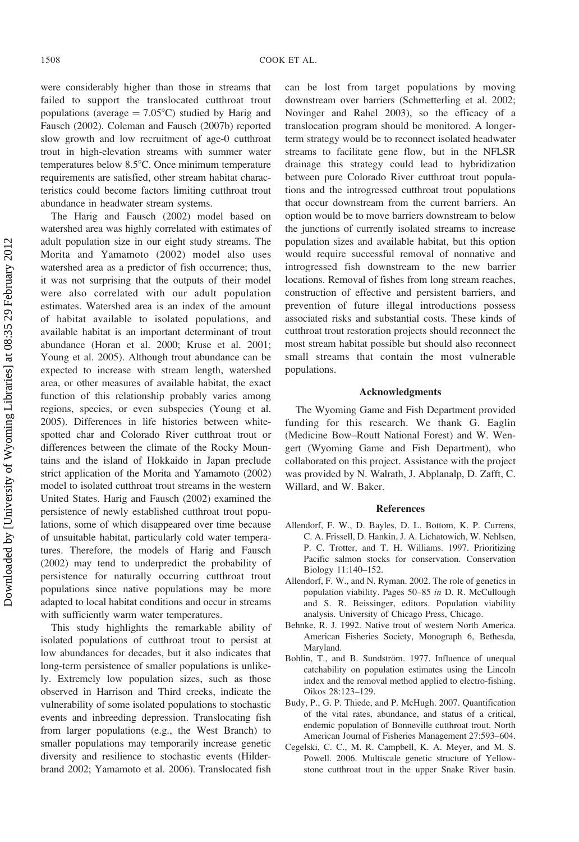were considerably higher than those in streams that failed to support the translocated cutthroat trout populations (average  $= 7.05^{\circ}$ C) studied by Harig and Fausch (2002). Coleman and Fausch (2007b) reported slow growth and low recruitment of age-0 cutthroat trout in high-elevation streams with summer water temperatures below  $8.5^{\circ}$ C. Once minimum temperature requirements are satisfied, other stream habitat characteristics could become factors limiting cutthroat trout abundance in headwater stream systems.

The Harig and Fausch (2002) model based on watershed area was highly correlated with estimates of adult population size in our eight study streams. The Morita and Yamamoto (2002) model also uses watershed area as a predictor of fish occurrence; thus, it was not surprising that the outputs of their model were also correlated with our adult population estimates. Watershed area is an index of the amount of habitat available to isolated populations, and available habitat is an important determinant of trout abundance (Horan et al. 2000; Kruse et al. 2001; Young et al. 2005). Although trout abundance can be expected to increase with stream length, watershed area, or other measures of available habitat, the exact function of this relationship probably varies among regions, species, or even subspecies (Young et al. 2005). Differences in life histories between whitespotted char and Colorado River cutthroat trout or differences between the climate of the Rocky Mountains and the island of Hokkaido in Japan preclude strict application of the Morita and Yamamoto (2002) model to isolated cutthroat trout streams in the western United States. Harig and Fausch (2002) examined the persistence of newly established cutthroat trout populations, some of which disappeared over time because of unsuitable habitat, particularly cold water temperatures. Therefore, the models of Harig and Fausch (2002) may tend to underpredict the probability of persistence for naturally occurring cutthroat trout populations since native populations may be more adapted to local habitat conditions and occur in streams with sufficiently warm water temperatures.

This study highlights the remarkable ability of isolated populations of cutthroat trout to persist at low abundances for decades, but it also indicates that long-term persistence of smaller populations is unlikely. Extremely low population sizes, such as those observed in Harrison and Third creeks, indicate the vulnerability of some isolated populations to stochastic events and inbreeding depression. Translocating fish from larger populations (e.g., the West Branch) to smaller populations may temporarily increase genetic diversity and resilience to stochastic events (Hilderbrand 2002; Yamamoto et al. 2006). Translocated fish

can be lost from target populations by moving downstream over barriers (Schmetterling et al. 2002; Novinger and Rahel 2003), so the efficacy of a translocation program should be monitored. A longerterm strategy would be to reconnect isolated headwater streams to facilitate gene flow, but in the NFLSR drainage this strategy could lead to hybridization between pure Colorado River cutthroat trout populations and the introgressed cutthroat trout populations that occur downstream from the current barriers. An option would be to move barriers downstream to below the junctions of currently isolated streams to increase population sizes and available habitat, but this option would require successful removal of nonnative and introgressed fish downstream to the new barrier locations. Removal of fishes from long stream reaches, construction of effective and persistent barriers, and prevention of future illegal introductions possess associated risks and substantial costs. These kinds of cutthroat trout restoration projects should reconnect the most stream habitat possible but should also reconnect small streams that contain the most vulnerable populations.

#### Acknowledgments

The Wyoming Game and Fish Department provided funding for this research. We thank G. Eaglin (Medicine Bow–Routt National Forest) and W. Wengert (Wyoming Game and Fish Department), who collaborated on this project. Assistance with the project was provided by N. Walrath, J. Abplanalp, D. Zafft, C. Willard, and W. Baker.

#### References

- Allendorf, F. W., D. Bayles, D. L. Bottom, K. P. Currens, C. A. Frissell, D. Hankin, J. A. Lichatowich, W. Nehlsen, P. C. Trotter, and T. H. Williams. 1997. Prioritizing Pacific salmon stocks for conservation. Conservation Biology 11:140–152.
- Allendorf, F. W., and N. Ryman. 2002. The role of genetics in population viability. Pages 50–85 in D. R. McCullough and S. R. Beissinger, editors. Population viability analysis. University of Chicago Press, Chicago.
- Behnke, R. J. 1992. Native trout of western North America. American Fisheries Society, Monograph 6, Bethesda, **Maryland**
- Bohlin, T., and B. Sundström. 1977. Influence of unequal catchability on population estimates using the Lincoln index and the removal method applied to electro-fishing. Oikos 28:123–129.
- Budy, P., G. P. Thiede, and P. McHugh. 2007. Quantification of the vital rates, abundance, and status of a critical, endemic population of Bonneville cutthroat trout. North American Journal of Fisheries Management 27:593–604.
- Cegelski, C. C., M. R. Campbell, K. A. Meyer, and M. S. Powell. 2006. Multiscale genetic structure of Yellowstone cutthroat trout in the upper Snake River basin.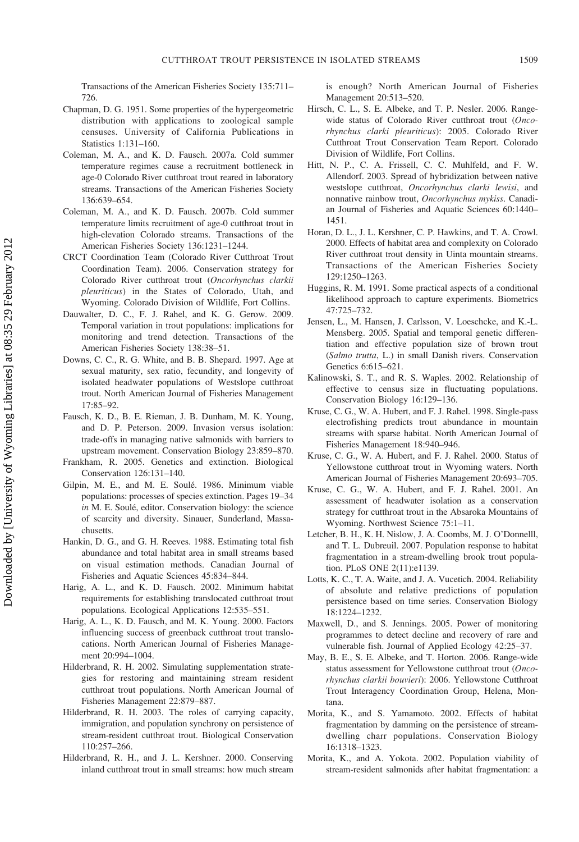Transactions of the American Fisheries Society 135:711– 726.

- Chapman, D. G. 1951. Some properties of the hypergeometric distribution with applications to zoological sample censuses. University of California Publications in Statistics 1:131–160.
- Coleman, M. A., and K. D. Fausch. 2007a. Cold summer temperature regimes cause a recruitment bottleneck in age-0 Colorado River cutthroat trout reared in laboratory streams. Transactions of the American Fisheries Society 136:639–654.
- Coleman, M. A., and K. D. Fausch. 2007b. Cold summer temperature limits recruitment of age-0 cutthroat trout in high-elevation Colorado streams. Transactions of the American Fisheries Society 136:1231–1244.
- CRCT Coordination Team (Colorado River Cutthroat Trout Coordination Team). 2006. Conservation strategy for Colorado River cutthroat trout (Oncorhynchus clarkii pleuriticus) in the States of Colorado, Utah, and Wyoming. Colorado Division of Wildlife, Fort Collins.
- Dauwalter, D. C., F. J. Rahel, and K. G. Gerow. 2009. Temporal variation in trout populations: implications for monitoring and trend detection. Transactions of the American Fisheries Society 138:38–51.
- Downs, C. C., R. G. White, and B. B. Shepard. 1997. Age at sexual maturity, sex ratio, fecundity, and longevity of isolated headwater populations of Westslope cutthroat trout. North American Journal of Fisheries Management 17:85–92.
- Fausch, K. D., B. E. Rieman, J. B. Dunham, M. K. Young, and D. P. Peterson. 2009. Invasion versus isolation: trade-offs in managing native salmonids with barriers to upstream movement. Conservation Biology 23:859–870.
- Frankham, R. 2005. Genetics and extinction. Biological Conservation 126:131–140.
- Gilpin, M. E., and M. E. Soulé. 1986. Minimum viable populations: processes of species extinction. Pages 19–34 in M. E. Soulé, editor. Conservation biology: the science of scarcity and diversity. Sinauer, Sunderland, Massachusetts.
- Hankin, D. G., and G. H. Reeves. 1988. Estimating total fish abundance and total habitat area in small streams based on visual estimation methods. Canadian Journal of Fisheries and Aquatic Sciences 45:834–844.
- Harig, A. L., and K. D. Fausch. 2002. Minimum habitat requirements for establishing translocated cutthroat trout populations. Ecological Applications 12:535–551.
- Harig, A. L., K. D. Fausch, and M. K. Young. 2000. Factors influencing success of greenback cutthroat trout translocations. North American Journal of Fisheries Management 20:994–1004.
- Hilderbrand, R. H. 2002. Simulating supplementation strategies for restoring and maintaining stream resident cutthroat trout populations. North American Journal of Fisheries Management 22:879–887.
- Hilderbrand, R. H. 2003. The roles of carrying capacity, immigration, and population synchrony on persistence of stream-resident cutthroat trout. Biological Conservation 110:257–266.
- Hilderbrand, R. H., and J. L. Kershner. 2000. Conserving inland cutthroat trout in small streams: how much stream

is enough? North American Journal of Fisheries Management 20:513–520.

- Hirsch, C. L., S. E. Albeke, and T. P. Nesler. 2006. Rangewide status of Colorado River cutthroat trout (Oncorhynchus clarki pleuriticus): 2005. Colorado River Cutthroat Trout Conservation Team Report. Colorado Division of Wildlife, Fort Collins.
- Hitt, N. P., C. A. Frissell, C. C. Muhlfeld, and F. W. Allendorf. 2003. Spread of hybridization between native westslope cutthroat, Oncorhynchus clarki lewisi, and nonnative rainbow trout, Oncorhynchus mykiss. Canadian Journal of Fisheries and Aquatic Sciences 60:1440– 1451.
- Horan, D. L., J. L. Kershner, C. P. Hawkins, and T. A. Crowl. 2000. Effects of habitat area and complexity on Colorado River cutthroat trout density in Uinta mountain streams. Transactions of the American Fisheries Society 129:1250–1263.
- Huggins, R. M. 1991. Some practical aspects of a conditional likelihood approach to capture experiments. Biometrics 47:725–732.
- Jensen, L., M. Hansen, J. Carlsson, V. Loeschcke, and K.-L. Mensberg. 2005. Spatial and temporal genetic differentiation and effective population size of brown trout (Salmo trutta, L.) in small Danish rivers. Conservation Genetics 6:615–621.
- Kalinowski, S. T., and R. S. Waples. 2002. Relationship of effective to census size in fluctuating populations. Conservation Biology 16:129–136.
- Kruse, C. G., W. A. Hubert, and F. J. Rahel. 1998. Single-pass electrofishing predicts trout abundance in mountain streams with sparse habitat. North American Journal of Fisheries Management 18:940–946.
- Kruse, C. G., W. A. Hubert, and F. J. Rahel. 2000. Status of Yellowstone cutthroat trout in Wyoming waters. North American Journal of Fisheries Management 20:693–705.
- Kruse, C. G., W. A. Hubert, and F. J. Rahel. 2001. An assessment of headwater isolation as a conservation strategy for cutthroat trout in the Absaroka Mountains of Wyoming. Northwest Science 75:1–11.
- Letcher, B. H., K. H. Nislow, J. A. Coombs, M. J. O'Donnelll, and T. L. Dubreuil. 2007. Population response to habitat fragmentation in a stream-dwelling brook trout population. PLoS ONE 2(11):e1139.
- Lotts, K. C., T. A. Waite, and J. A. Vucetich. 2004. Reliability of absolute and relative predictions of population persistence based on time series. Conservation Biology 18:1224–1232.
- Maxwell, D., and S. Jennings. 2005. Power of monitoring programmes to detect decline and recovery of rare and vulnerable fish. Journal of Applied Ecology 42:25–37.
- May, B. E., S. E. Albeke, and T. Horton. 2006. Range-wide status assessment for Yellowstone cutthroat trout (Oncorhynchus clarkii bouvieri): 2006. Yellowstone Cutthroat Trout Interagency Coordination Group, Helena, Montana.
- Morita, K., and S. Yamamoto. 2002. Effects of habitat fragmentation by damming on the persistence of streamdwelling charr populations. Conservation Biology 16:1318–1323.
- Morita, K., and A. Yokota. 2002. Population viability of stream-resident salmonids after habitat fragmentation: a